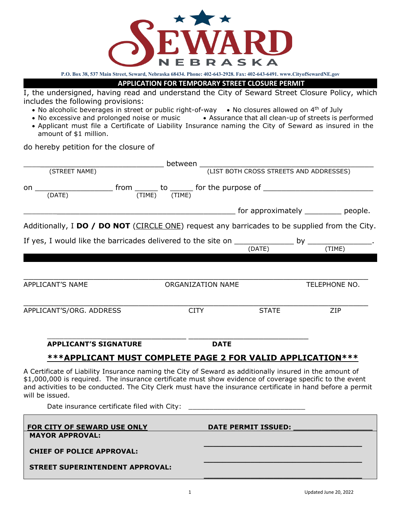

**P.O. Box 38, 537 Main Street, Seward, Nebraska 68434. Phone: 402-643-2928. Fax: 402-643-6491. www.CityofSewardNE.gov**

## **APPLICATION FOR TEMPORARY STREET CLOSURE PERMIT**

I, the undersigned, having read and understand the City of Seward Street Closure Policy, which includes the following provisions:

- No alcoholic beverages in street or public right-of-way No closures allowed on  $4<sup>th</sup>$  of July
- No excessive and prolonged noise or music Assurance that all clean-up of streets is performed
- Applicant must file a Certificate of Liability Insurance naming the City of Seward as insured in the amount of \$1 million.

do hereby petition for the closure of

|                                                                                                                                                                                                                                                                                                                                                     | between                                                                                                                 |                                         |               |  |
|-----------------------------------------------------------------------------------------------------------------------------------------------------------------------------------------------------------------------------------------------------------------------------------------------------------------------------------------------------|-------------------------------------------------------------------------------------------------------------------------|-----------------------------------------|---------------|--|
| (STREET NAME)                                                                                                                                                                                                                                                                                                                                       |                                                                                                                         | (LIST BOTH CROSS STREETS AND ADDRESSES) |               |  |
| $\underbrace{\text{from}}_{\text{(DATE)}}$ to $\underbrace{\text{from}}_{\text{(TIME)}}$ to $\underbrace{\text{from}}_{\text{(TIME)}}$ for the purpose of $\underbrace{\text{from}}$<br>on                                                                                                                                                          |                                                                                                                         |                                         |               |  |
|                                                                                                                                                                                                                                                                                                                                                     | <b>No. 2. Every Exercise Service Contract</b> Exercise Contract Pressure Contract Pressure Contract Pressure Contract P |                                         |               |  |
| Additionally, I DO / DO NOT (CIRCLE ONE) request any barricades to be supplied from the City.                                                                                                                                                                                                                                                       |                                                                                                                         |                                         |               |  |
|                                                                                                                                                                                                                                                                                                                                                     |                                                                                                                         |                                         |               |  |
|                                                                                                                                                                                                                                                                                                                                                     |                                                                                                                         |                                         |               |  |
| APPLICANT'S NAME                                                                                                                                                                                                                                                                                                                                    | ORGANIZATION NAME                                                                                                       |                                         | TELEPHONE NO. |  |
| APPLICANT'S/ORG. ADDRESS                                                                                                                                                                                                                                                                                                                            | <b>CITY</b>                                                                                                             | <b>STATE</b>                            | ZIP           |  |
|                                                                                                                                                                                                                                                                                                                                                     |                                                                                                                         |                                         |               |  |
| <b>APPLICANT'S SIGNATURE</b>                                                                                                                                                                                                                                                                                                                        | <b>DATE</b>                                                                                                             |                                         |               |  |
| <u>***APPLICANT MUST COMPLETE PAGE 2 FOR VALID APPLICATION***</u>                                                                                                                                                                                                                                                                                   |                                                                                                                         |                                         |               |  |
| A Certificate of Liability Insurance naming the City of Seward as additionally insured in the amount of<br>\$1,000,000 is required. The insurance certificate must show evidence of coverage specific to the event<br>and activities to be conducted. The City Clerk must have the insurance certificate in hand before a permit<br>will be issued. |                                                                                                                         |                                         |               |  |
|                                                                                                                                                                                                                                                                                                                                                     |                                                                                                                         |                                         |               |  |
| FOR CITY OF SEWARD USE ONLY<br><b>MAYOR APPROVAL:</b>                                                                                                                                                                                                                                                                                               |                                                                                                                         | <b>DATE PERMIT ISSUED:</b>              |               |  |
| <b>CHIEF OF POLICE APPROVAL:</b>                                                                                                                                                                                                                                                                                                                    |                                                                                                                         |                                         |               |  |
| <b>STREET SUPERINTENDENT APPROVAL:</b>                                                                                                                                                                                                                                                                                                              |                                                                                                                         |                                         |               |  |